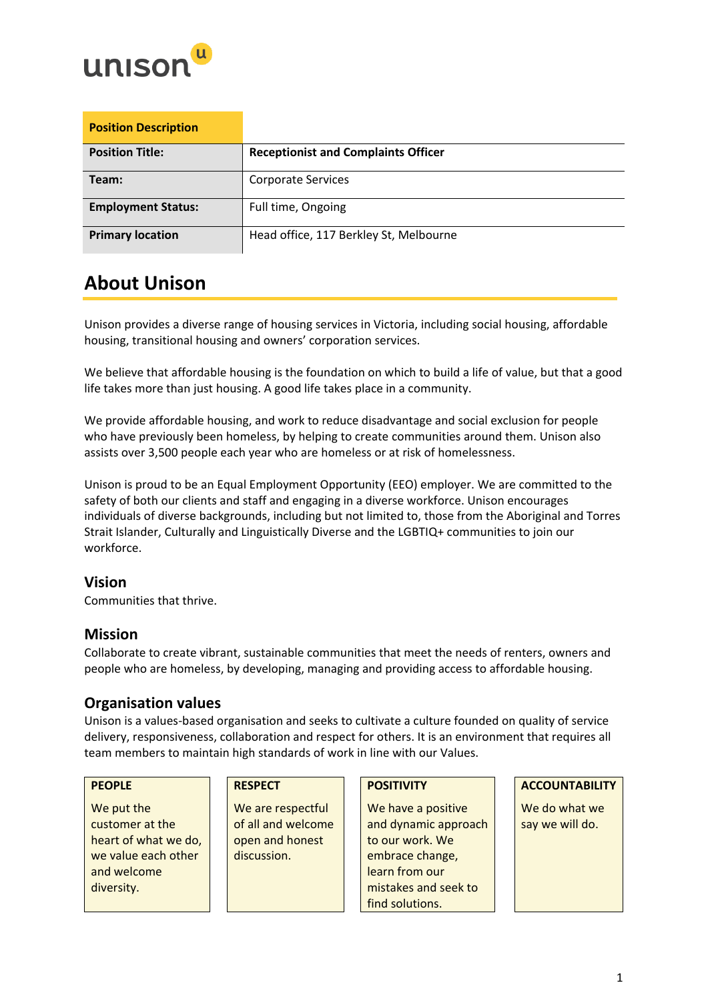

| <b>Position Description</b> |                                            |
|-----------------------------|--------------------------------------------|
| <b>Position Title:</b>      | <b>Receptionist and Complaints Officer</b> |
| Team:                       | <b>Corporate Services</b>                  |
| <b>Employment Status:</b>   | Full time, Ongoing                         |
| <b>Primary location</b>     | Head office, 117 Berkley St, Melbourne     |

## **About Unison**

Unison provides a diverse range of housing services in Victoria, including social housing, affordable housing, transitional housing and owners' corporation services.

We believe that affordable housing is the foundation on which to build a life of value, but that a good life takes more than just housing. A good life takes place in a community.

We provide affordable housing, and work to reduce disadvantage and social exclusion for people who have previously been homeless, by helping to create communities around them. Unison also assists over 3,500 people each year who are homeless or at risk of homelessness.

Unison is proud to be an Equal Employment Opportunity (EEO) employer. We are committed to the safety of both our clients and staff and engaging in a diverse workforce. Unison encourages individuals of diverse backgrounds, including but not limited to, those from the Aboriginal and Torres Strait Islander, Culturally and Linguistically Diverse and the LGBTIQ+ communities to join our workforce.

## **Vision**

Communities that thrive.

## **Mission**

Collaborate to create vibrant, sustainable communities that meet the needs of renters, owners and people who are homeless, by developing, managing and providing access to affordable housing.

## **Organisation values**

Unison is a values-based organisation and seeks to cultivate a culture founded on quality of service delivery, responsiveness, collaboration and respect for others. It is an environment that requires all team members to maintain high standards of work in line with our Values.

We put the customer at the heart of what we do, we value each other and welcome diversity.

We are respectful of all and welcome open and honest discussion.

We have a positive and dynamic approach to our work. We embrace change, learn from our mistakes and seek to find solutions.

### **PEOPLE RESPECT POSITIVITY ACCOUNTABILITY**

We do what we say we will do.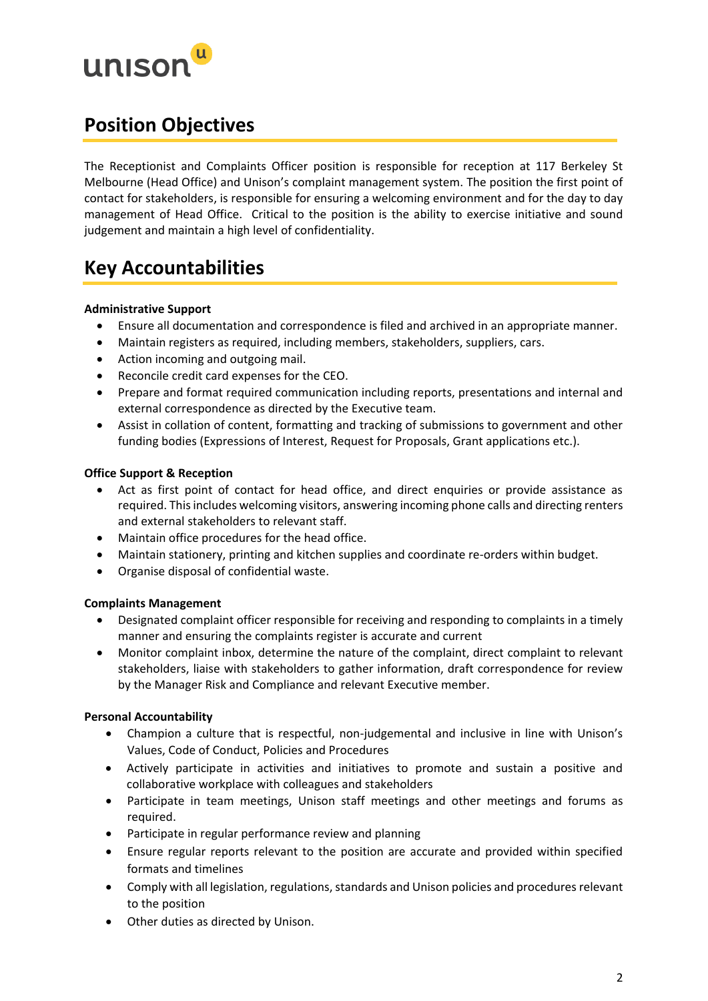

## **Position Objectives**

The Receptionist and Complaints Officer position is responsible for reception at 117 Berkeley St Melbourne (Head Office) and Unison's complaint management system. The position the first point of contact for stakeholders, is responsible for ensuring a welcoming environment and for the day to day management of Head Office. Critical to the position is the ability to exercise initiative and sound judgement and maintain a high level of confidentiality.

## **Key Accountabilities**

## **Administrative Support**

- Ensure all documentation and correspondence is filed and archived in an appropriate manner.
- Maintain registers as required, including members, stakeholders, suppliers, cars.
- Action incoming and outgoing mail.
- Reconcile credit card expenses for the CEO.
- Prepare and format required communication including reports, presentations and internal and external correspondence as directed by the Executive team.
- Assist in collation of content, formatting and tracking of submissions to government and other funding bodies (Expressions of Interest, Request for Proposals, Grant applications etc.).

## **Office Support & Reception**

- Act as first point of contact for head office, and direct enquiries or provide assistance as required. This includes welcoming visitors, answering incoming phone calls and directing renters and external stakeholders to relevant staff.
- Maintain office procedures for the head office.
- Maintain stationery, printing and kitchen supplies and coordinate re-orders within budget.
- Organise disposal of confidential waste.

### **Complaints Management**

- Designated complaint officer responsible for receiving and responding to complaints in a timely manner and ensuring the complaints register is accurate and current
- Monitor complaint inbox, determine the nature of the complaint, direct complaint to relevant stakeholders, liaise with stakeholders to gather information, draft correspondence for review by the Manager Risk and Compliance and relevant Executive member.

### **Personal Accountability**

- Champion a culture that is respectful, non-judgemental and inclusive in line with Unison's Values, Code of Conduct, Policies and Procedures
- Actively participate in activities and initiatives to promote and sustain a positive and collaborative workplace with colleagues and stakeholders
- Participate in team meetings, Unison staff meetings and other meetings and forums as required.
- Participate in regular performance review and planning
- Ensure regular reports relevant to the position are accurate and provided within specified formats and timelines
- Comply with all legislation, regulations, standards and Unison policies and procedures relevant to the position
- Other duties as directed by Unison.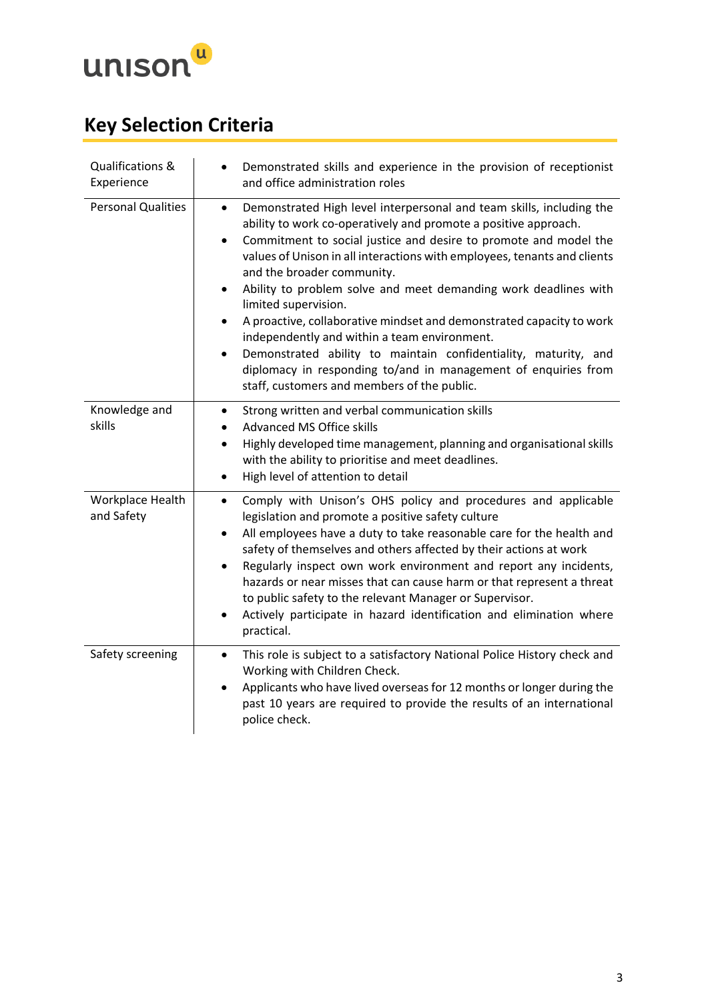

# **Key Selection Criteria**

| Qualifications &<br>Experience | Demonstrated skills and experience in the provision of receptionist<br>$\bullet$<br>and office administration roles                                                                                                                                                                                                                                                                                                                                                                                                                                                                                                                                                                                                                                                                           |
|--------------------------------|-----------------------------------------------------------------------------------------------------------------------------------------------------------------------------------------------------------------------------------------------------------------------------------------------------------------------------------------------------------------------------------------------------------------------------------------------------------------------------------------------------------------------------------------------------------------------------------------------------------------------------------------------------------------------------------------------------------------------------------------------------------------------------------------------|
| <b>Personal Qualities</b>      | Demonstrated High level interpersonal and team skills, including the<br>$\bullet$<br>ability to work co-operatively and promote a positive approach.<br>Commitment to social justice and desire to promote and model the<br>$\bullet$<br>values of Unison in all interactions with employees, tenants and clients<br>and the broader community.<br>Ability to problem solve and meet demanding work deadlines with<br>$\bullet$<br>limited supervision.<br>A proactive, collaborative mindset and demonstrated capacity to work<br>$\bullet$<br>independently and within a team environment.<br>Demonstrated ability to maintain confidentiality, maturity, and<br>$\bullet$<br>diplomacy in responding to/and in management of enquiries from<br>staff, customers and members of the public. |
| Knowledge and<br>skills        | Strong written and verbal communication skills<br>$\bullet$<br><b>Advanced MS Office skills</b><br>٠<br>Highly developed time management, planning and organisational skills<br>$\bullet$<br>with the ability to prioritise and meet deadlines.<br>High level of attention to detail<br>$\bullet$                                                                                                                                                                                                                                                                                                                                                                                                                                                                                             |
| Workplace Health<br>and Safety | Comply with Unison's OHS policy and procedures and applicable<br>$\bullet$<br>legislation and promote a positive safety culture<br>All employees have a duty to take reasonable care for the health and<br>$\bullet$<br>safety of themselves and others affected by their actions at work<br>Regularly inspect own work environment and report any incidents,<br>$\bullet$<br>hazards or near misses that can cause harm or that represent a threat<br>to public safety to the relevant Manager or Supervisor.<br>Actively participate in hazard identification and elimination where<br>$\bullet$<br>practical.                                                                                                                                                                              |
| Safety screening               | This role is subject to a satisfactory National Police History check and<br>$\bullet$<br>Working with Children Check.<br>Applicants who have lived overseas for 12 months or longer during the<br>$\bullet$<br>past 10 years are required to provide the results of an international<br>police check.                                                                                                                                                                                                                                                                                                                                                                                                                                                                                         |